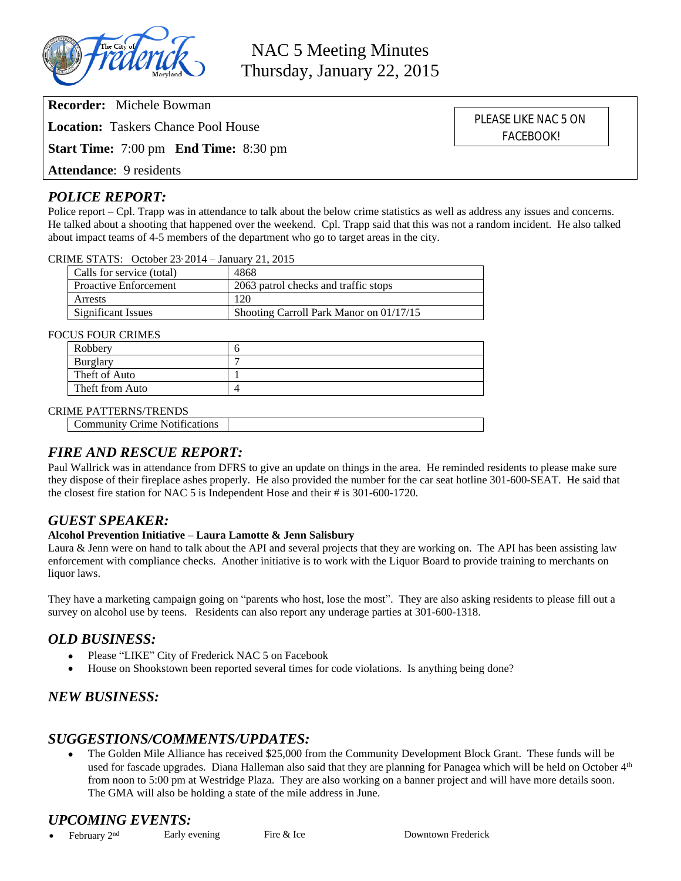

**Recorder:** Michele Bowman

**Location:** Taskers Chance Pool House

**Start Time:** 7:00 pm **End Time:** 8:30 pm

**Attendance**: 9 residents

# *POLICE REPORT:*

Police report – Cpl. Trapp was in attendance to talk about the below crime statistics as well as address any issues and concerns. He talked about a shooting that happened over the weekend. Cpl. Trapp said that this was not a random incident. He also talked about impact teams of 4-5 members of the department who go to target areas in the city.

CRIME STATS: October 23, 2014 – January 21, 2015

| Calls for service (total)    | 4868                                    |
|------------------------------|-----------------------------------------|
| <b>Proactive Enforcement</b> | 2063 patrol checks and traffic stops    |
| Arrests                      | 120                                     |
| Significant Issues           | Shooting Carroll Park Manor on 01/17/15 |

#### FOCUS FOUR CRIMES

| Robbery         |  |
|-----------------|--|
| Burglary        |  |
| Theft of Auto   |  |
| Theft from Auto |  |
|                 |  |

#### CRIME PATTERNS/TRENDS

| <b>Community Crime Notifications</b> |
|--------------------------------------|
|--------------------------------------|

# *FIRE AND RESCUE REPORT:*

Paul Wallrick was in attendance from DFRS to give an update on things in the area. He reminded residents to please make sure they dispose of their fireplace ashes properly. He also provided the number for the car seat hotline 301-600-SEAT. He said that the closest fire station for NAC 5 is Independent Hose and their # is 301-600-1720.

### *GUEST SPEAKER:*

#### **Alcohol Prevention Initiative – Laura Lamotte & Jenn Salisbury**

Laura & Jenn were on hand to talk about the API and several projects that they are working on. The API has been assisting law enforcement with compliance checks. Another initiative is to work with the Liquor Board to provide training to merchants on liquor laws.

They have a marketing campaign going on "parents who host, lose the most". They are also asking residents to please fill out a survey on alcohol use by teens. Residents can also report any underage parties at 301-600-1318.

# *OLD BUSINESS:*

- Please "LIKE" City of Frederick NAC 5 on Facebook
- House on Shookstown been reported several times for code violations. Is anything being done?

# *NEW BUSINESS:*

### *SUGGESTIONS/COMMENTS/UPDATES:*

• The Golden Mile Alliance has received \$25,000 from the Community Development Block Grant. These funds will be used for fascade upgrades. Diana Halleman also said that they are planning for Panagea which will be held on October 4<sup>th</sup> from noon to 5:00 pm at Westridge Plaza. They are also working on a banner project and will have more details soon. The GMA will also be holding a state of the mile address in June.

# *UPCOMING EVENTS:*

February 2<sup>nd</sup> Early evening Fire & Ice Bowntown Frederick

PLEASE LIKE NAC 5 ON FACEBOOK!